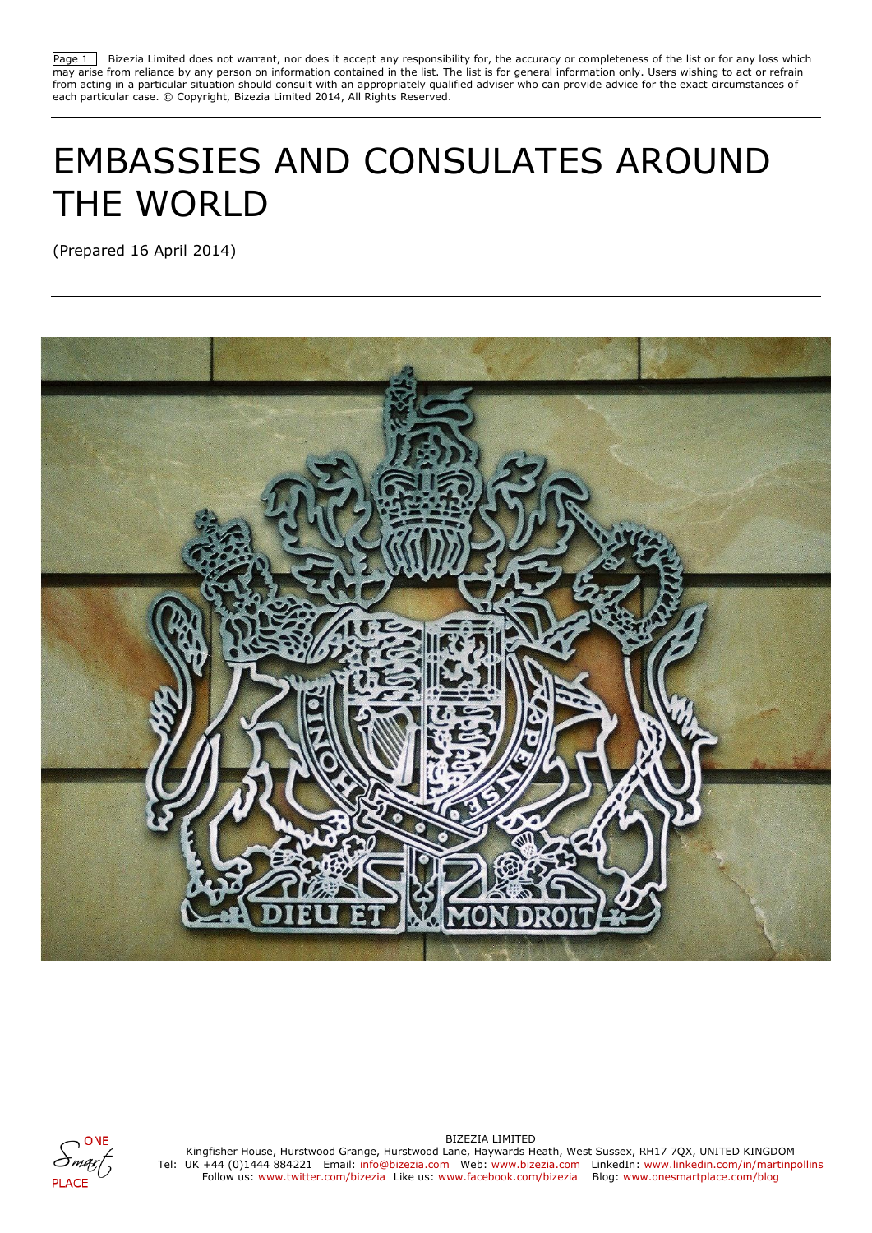Page 1 Bizezia Limited does not warrant, nor does it accept any responsibility for, the accuracy or completeness of the list or for any loss which may arise from reliance by any person on information contained in the list. The list is for general information only. Users wishing to act or refrain from acting in a particular situation should consult with an appropriately qualified adviser who can provide advice for the exact circumstances of each particular case. © Copyright, Bizezia Limited 2014, All Rights Reserved.

# EMBASSIES AND CONSULATES AROUND THE WORLD

(Prepared 16 April 2014)





BIZEZIA LIMITED

Kingfisher House, Hurstwood Grange, Hurstwood Lane, Haywards Heath, West Sussex, RH17 7QX, UNITED KINGDOM Tel: UK +44 (0)1444 884221 Email: info@bizezia.com Web: www.bizezia.com LinkedIn: www.linkedin.com/in/martinpollins Follow us: www.twitter.com/bizezia Like us: www.facebook.com/bizezia Blog: www.onesmartplace.com/blog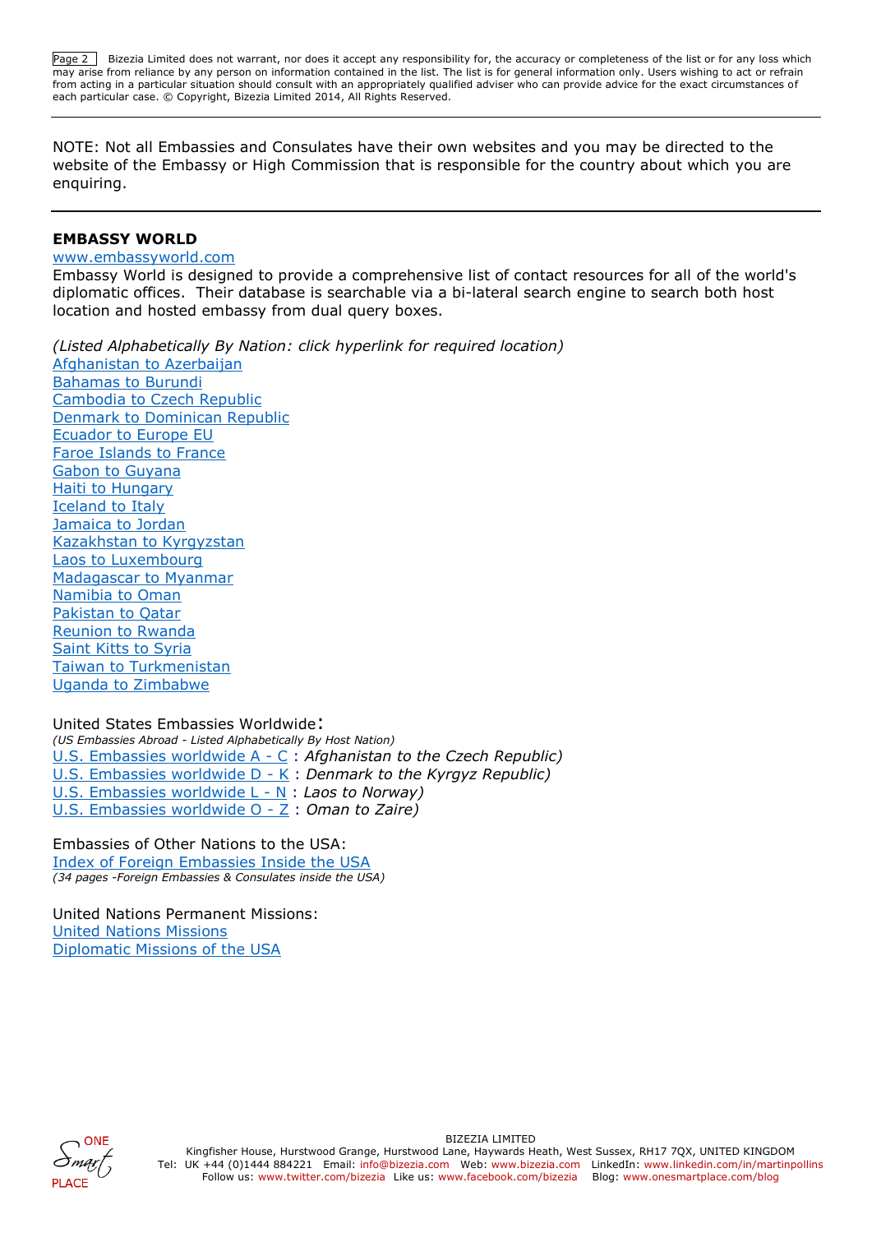Page 2 Bizezia Limited does not warrant, nor does it accept any responsibility for, the accuracy or completeness of the list or for any loss which may arise from reliance by any person on information contained in the list. The list is for general information only. Users wishing to act or refrain from acting in a particular situation should consult with an appropriately qualified adviser who can provide advice for the exact circumstances of each particular case. © Copyright, Bizezia Limited 2014, All Rights Reserved.

NOTE: Not all Embassies and Consulates have their own websites and you may be directed to the website of the Embassy or High Commission that is responsible for the country about which you are enquiring.

### **EMBASSY WORLD**

#### [www.embassyworld.com](http://www.embassyworld.com/)

Embassy World is designed to provide a comprehensive list of contact resources for all of the world's diplomatic offices. Their database is searchable via a bi-lateral search engine to search both host location and hosted embassy from dual query boxes.

*(Listed Alphabetically By Nation: click hyperlink for required location)* [Afghanistan to Azerbaijan](http://www.embassyworld.com/embassy/Directory_A/) [Bahamas to Burundi](http://www.embassyworld.com/Embassies/Directory_B/) [Cambodia to Czech Republic](http://www.embassyworld.com/Embassies/Directory_C/) [Denmark to Dominican Republic](http://www.embassyworld.com/Embassies/Directory_DEF/) [Ecuador to Europe EU](http://www.embassyworld.com/Embassies/Directory_DEF/) [Faroe Islands to France](http://www.embassyworld.com/Embassies/Directory_DEF/) [Gabon to Guyana](http://www.embassyworld.com/Embassies/Directory_GH/) [Haiti to Hungary](http://www.embassyworld.com/Embassies/Directory_GH/) [Iceland to Italy](http://www.embassyworld.com/Embassies/Directory_IJK/) [Jamaica to Jordan](http://www.embassyworld.com/Embassies/Directory_IJK/) [Kazakhstan to Kyrgyzstan](http://www.embassyworld.com/Embassies/Directory_IJK/) [Laos to Luxembourg](http://www.embassyworld.com/Embassies/Directory_LM/) [Madagascar to Myanmar](http://www.embassyworld.com/Embassies/Directory_LM/) [Namibia to Oman](http://www.embassyworld.com/embassy/directory_n.htm) [Pakistan to Qatar](http://www.embassyworld.com/embassy/directory_p.htm) [Reunion to Rwanda](http://www.embassyworld.com/embassy/directory_r.htm) [Saint Kitts to Syria](http://www.embassyworld.com/Embassies/Directory_S/) [Taiwan to Turkmenistan](http://www.embassyworld.com/Embassies/Directory_T/) [Uganda to Zimbabwe](http://www.embassyworld.com/Directory_U-Z/)

[United States Embassies Worldwide](http://www.embassyworld.com/#United States Embassies Worldwide): *(US Embassies Abroad - [Listed Alphabetically By Host Nation\)](http://www.embassyworld.com/US_Embassies/)* [U.S. Embassies worldwide A -](http://www.embassyworld.com/embassy/usa1.htm) C : *Afghanistan to the Czech Republic)* [U.S. Embassies worldwide D -](http://www.embassyworld.com/US_Embassies/US_Embassies_2/) K : *Denmark to the Kyrgyz Republic)* [U.S. Embassies worldwide L -](http://www.embassyworld.com/US_Embassies/US_Embassies_3/) N : *Laos to Norway)* [U.S. Embassies worldwide O -](http://www.embassyworld.com/embassy/usa4.htm) Z : *Oman to Zaire)*

[Embassies of Other Nations to the USA:](http://www.embassyworld.com/#Embassies Of Other Nations to the USA) [Index of Foreign Embassies Inside the USA](http://www.embassyworld.com/Foreign_Embassies_In_The_USA/) *[\(34 pages -Foreign Embassies & Consulates inside the USA\)](http://www.embassyworld.com/Foreign_Embassies_In_The_USA/)*

[United Nations Permanent Missions:](http://www.embassyworld.com/#United Nations Permanent Missions) [United Nations Missions](http://www.embassyworld.com/United_Nations_Missions/) [Diplomatic Missions of the USA](http://www.embassyworld.com/United_Nations_Missions/)

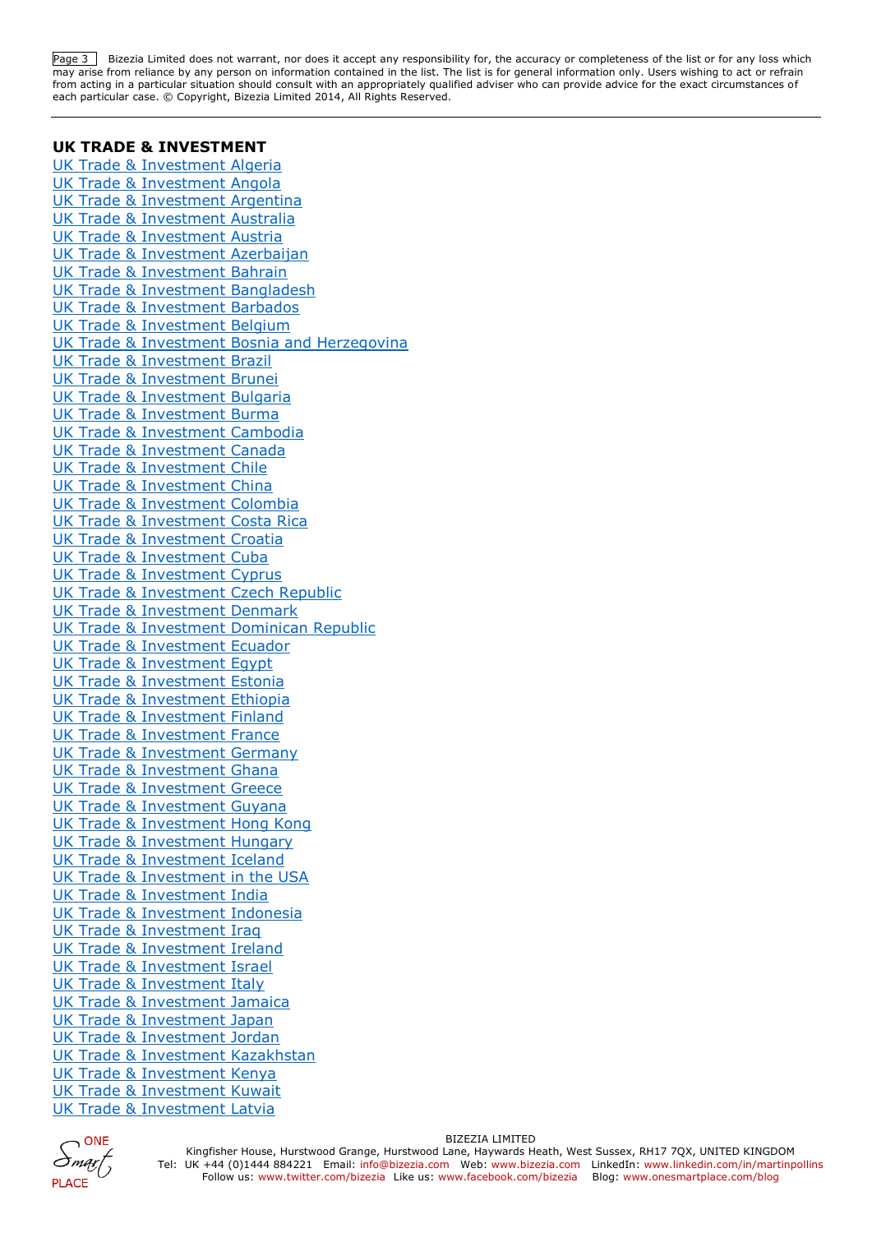Page 3 Bizezia Limited does not warrant, nor does it accept any responsibility for, the accuracy or completeness of the list or for any loss which may arise from reliance by any person on information contained in the list. The list is for general information only. Users wishing to act or refrain from acting in a particular situation should consult with an appropriately qualified adviser who can provide advice for the exact circumstances of each particular case. © Copyright, Bizezia Limited 2014, All Rights Reserved.

#### **UK TRADE & INVESTMENT**

[UK Trade & Investment Algeria](https://www.gov.uk/government/world/organisations/uk-trade-investment-algeria) [UK Trade & Investment Angola](https://www.gov.uk/government/world/organisations/uk-trade-investment-angola) [UK Trade & Investment Argentina](https://www.gov.uk/government/world/organisations/uk-trade-investment-argentina) [UK Trade & Investment Australia](https://www.gov.uk/government/world/organisations/uk-trade-investment-australia) [UK Trade & Investment Austria](https://www.gov.uk/government/world/organisations/uk-trade-investment-austria) [UK Trade & Investment Azerbaijan](https://www.gov.uk/government/world/organisations/uk-trade-investment-azerbaijan) [UK Trade & Investment Bahrain](https://www.gov.uk/government/world/organisations/uk-trade-investment-bahrain) [UK Trade & Investment Bangladesh](https://www.gov.uk/government/world/organisations/uk-trade-investment-bangladesh) [UK Trade & Investment Barbados](https://www.gov.uk/government/world/organisations/uk-trade-investment-barbados) [UK Trade & Investment Belgium](https://www.gov.uk/government/world/organisations/uk-trade-investment) [UK Trade & Investment Bosnia and Herzegovina](https://www.gov.uk/government/world/organisations/uk-trade-investment-bosnia-and-herzegovina) [UK Trade & Investment Brazil](https://www.gov.uk/government/world/organisations/uk-trade-investment-brazil) [UK Trade & Investment Brunei](https://www.gov.uk/government/world/organisations/uk-trade-investment-brunei) [UK Trade & Investment Bulgaria](https://www.gov.uk/government/world/organisations/uk-trade-investment-bulgaria) [UK Trade & Investment Burma](https://www.gov.uk/government/world/organisations/ukti-burma) [UK Trade & Investment Cambodia](https://www.gov.uk/government/world/organisations/uk-trade-investment-cambodia) [UK Trade & Investment Canada](https://www.gov.uk/government/world/organisations/uk-trade-investment-canada) [UK Trade & Investment Chile](https://www.gov.uk/government/world/organisations/uk-trade-investment-chile) [UK Trade & Investment China](https://www.gov.uk/government/world/organisations/uk-trade-investment-china) [UK Trade & Investment Colombia](https://www.gov.uk/government/world/organisations/uk-trade-investment-colombia) [UK Trade & Investment Costa Rica](https://www.gov.uk/government/world/organisations/uk-trade-investment-costa-rica) [UK Trade & Investment Croatia](https://www.gov.uk/government/world/organisations/uk-trade-investment-croatia) [UK Trade & Investment Cuba](https://www.gov.uk/government/world/organisations/uk-trade-investment-cuba) [UK Trade & Investment Cyprus](https://www.gov.uk/government/world/organisations/uk-trade-investment-cyprus) [UK Trade & Investment Czech Republic](https://www.gov.uk/government/world/organisations/uk-trade-investment-czech-republic) [UK Trade & Investment Denmark](https://www.gov.uk/government/world/organisations/uk-trade-investment-denmark) [UK Trade & Investment Dominican Republic](https://www.gov.uk/government/world/organisations/uk-trade-investment-dominican-republic) [UK Trade & Investment Ecuador](https://www.gov.uk/government/world/organisations/uk-trade-investment-ecuador) [UK Trade & Investment Egypt](https://www.gov.uk/government/world/organisations/uk-trade-investment-egypt) [UK Trade & Investment Estonia](https://www.gov.uk/government/world/organisations/uk-trade-investment-estonia) [UK Trade & Investment Ethiopia](https://www.gov.uk/government/world/organisations/uk-trade-investment-ethiopia) [UK Trade & Investment Finland](https://www.gov.uk/government/world/organisations/uk-trade-investment-finland) [UK Trade & Investment France](https://www.gov.uk/government/world/organisations/uk-trade-investment-france) [UK Trade & Investment Germany](https://www.gov.uk/government/world/organisations/uk-trade-investment-germany) [UK Trade & Investment Ghana](https://www.gov.uk/government/world/organisations/uk-trade-investment-ghana) [UK Trade & Investment Greece](https://www.gov.uk/government/world/organisations/uk-trade-investment-greece) [UK Trade & Investment Guyana](https://www.gov.uk/government/world/organisations/ukti-guyana) [UK Trade & Investment Hong Kong](https://www.gov.uk/government/world/organisations/uk-trade-investment-hong-kong) [UK Trade & Investment Hungary](https://www.gov.uk/government/world/organisations/uk-trade-investment-hungary) [UK Trade & Investment Iceland](https://www.gov.uk/government/world/organisations/ukti-iceland) [UK Trade & Investment in the USA](https://www.gov.uk/government/world/organisations/uk-trade-investment-in-the-usa) [UK Trade & Investment India](https://www.gov.uk/government/world/organisations/uk-trade-investment-india) [UK Trade & Investment Indonesia](https://www.gov.uk/government/world/organisations/uk-trade-investment-indonesia) [UK Trade & Investment Iraq](https://www.gov.uk/government/world/organisations/uk-trade-investment-iraq) [UK Trade & Investment Ireland](https://www.gov.uk/government/world/organisations/uk-trade-investment-ireland) [UK Trade & Investment Israel](https://www.gov.uk/government/world/organisations/uk-trade-investment-israel) [UK Trade & Investment Italy](https://www.gov.uk/government/world/organisations/uk-trade-investment-italy) [UK Trade & Investment Jamaica](https://www.gov.uk/government/world/organisations/uk-trade-investment-jamaica) [UK Trade & Investment Japan](https://www.gov.uk/government/world/organisations/uk-trade-investment-japan) [UK Trade & Investment Jordan](https://www.gov.uk/government/world/organisations/uk-trade-investment-jordan) [UK Trade & Investment Kazakhstan](https://www.gov.uk/government/world/organisations/uk-trade-investment-kazakhstan) [UK Trade & Investment Kenya](https://www.gov.uk/government/world/organisations/uk-trade-investment-kenya) [UK Trade & Investment Kuwait](https://www.gov.uk/government/world/organisations/uk-trade-investment-kuwait) [UK Trade & Investment Latvia](https://www.gov.uk/government/world/organisations/uk-trade-investment-latvia)

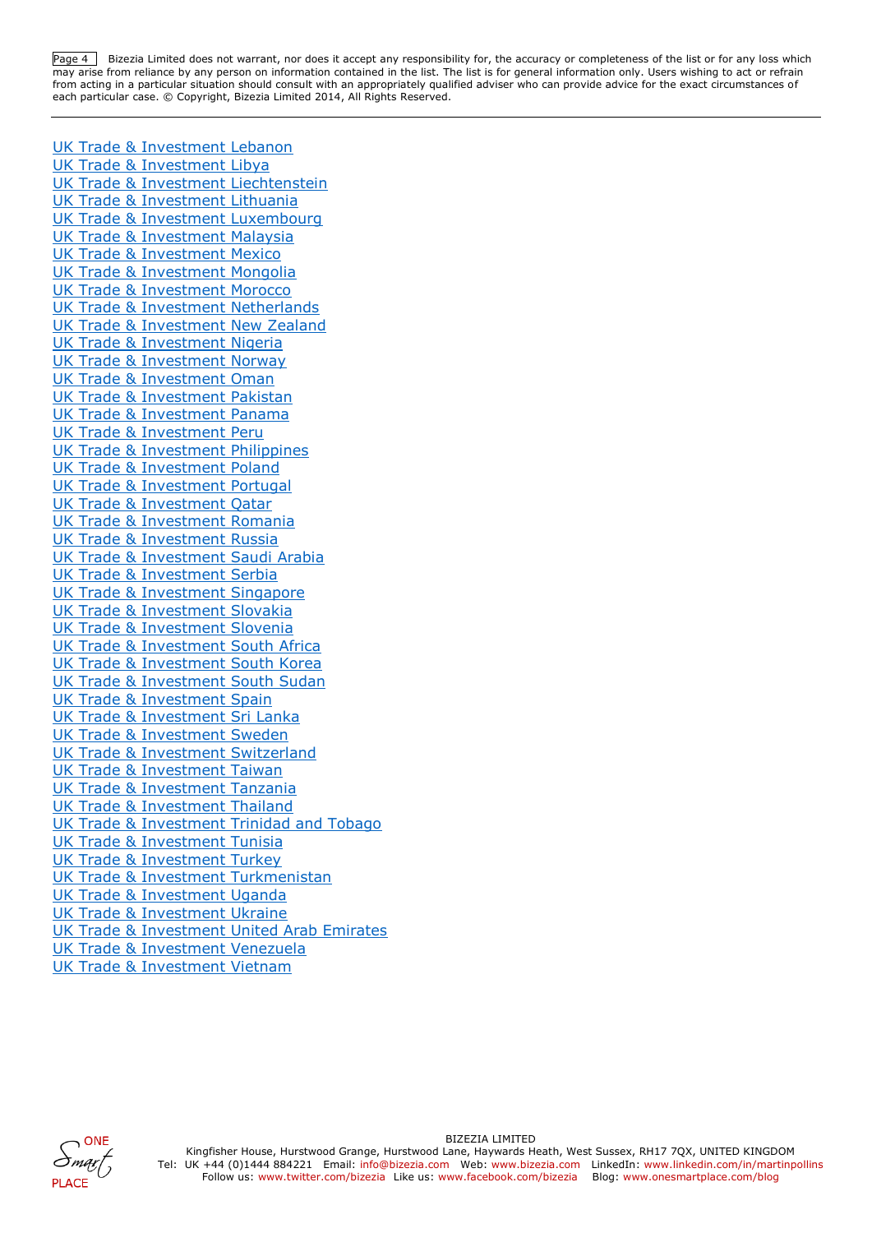Page <sup>4</sup>Bizezia Limited does not warrant, nor does it accept any responsibility for, the accuracy or completeness of the list or for any loss which may arise from reliance by any person on information contained in the list. The list is for general information only. Users wishing to act or refrain from acting in a particular situation should consult with an appropriately qualified adviser who can provide advice for the exact circumstances of each particular case. © Copyright, Bizezia Limited 2014, All Rights Reserved.

[UK Trade & Investment Lebanon](https://www.gov.uk/government/world/organisations/uk-trade-investment-lebanon) [UK Trade & Investment Libya](https://www.gov.uk/government/world/organisations/uk-trade-investment-libya) [UK Trade & Investment Liechtenstein](https://www.gov.uk/government/world/organisations/uk-trade-investment-liechtenstein) [UK Trade & Investment Lithuania](https://www.gov.uk/government/world/organisations/uk-trade-investment-lithuania) [UK Trade & Investment Luxembourg](https://www.gov.uk/government/world/organisations/uk-trade-investment-luxembourg) [UK Trade & Investment Malaysia](https://www.gov.uk/government/world/organisations/uk-trade-investment-malaysia) [UK Trade & Investment Mexico](https://www.gov.uk/government/world/organisations/uk-trade-investment-mexico) [UK Trade & Investment Mongolia](https://www.gov.uk/government/world/organisations/ukti-mongolia) [UK Trade & Investment Morocco](https://www.gov.uk/government/world/organisations/uk-trade-investment-morocco) [UK Trade & Investment Netherlands](https://www.gov.uk/government/world/organisations/uk-trade-investment-netherlands) [UK Trade & Investment New Zealand](https://www.gov.uk/government/world/organisations/uk-trade-investment-new-zealand) [UK Trade & Investment Nigeria](https://www.gov.uk/government/world/organisations/uk-trade-investment-nigeria) [UK Trade & Investment Norway](https://www.gov.uk/government/world/organisations/uk-trade-investment-norway) [UK Trade & Investment Oman](https://www.gov.uk/government/world/organisations/uk-trade-investment-oman) [UK Trade & Investment Pakistan](https://www.gov.uk/government/world/organisations/uk-trade-investment-pakistan) [UK Trade & Investment Panama](https://www.gov.uk/government/world/organisations/uk-trade-investment-panama) [UK Trade & Investment Peru](https://www.gov.uk/government/world/organisations/uk-trade-investment-peru) [UK Trade & Investment Philippines](https://www.gov.uk/government/world/organisations/uk-trade-investment-philippines) [UK Trade & Investment Poland](https://www.gov.uk/government/world/organisations/uk-trade-investment-poland) [UK Trade & Investment Portugal](https://www.gov.uk/government/world/organisations/uk-trade-investment-portugal) [UK Trade & Investment Qatar](https://www.gov.uk/government/world/organisations/uk-trade-investment-qatar) [UK Trade & Investment Romania](https://www.gov.uk/government/world/organisations/uk-trade-investment-romania) [UK Trade & Investment Russia](https://www.gov.uk/government/world/organisations/uk-trade-investment-russia) UK Trade & [Investment Saudi Arabia](https://www.gov.uk/government/world/organisations/uk-trade-investment-saudi-arabia) [UK Trade & Investment Serbia](https://www.gov.uk/government/world/organisations/uk-trade-investment-serbia) [UK Trade & Investment Singapore](https://www.gov.uk/government/world/organisations/uk-trade-investment-singapore) [UK Trade & Investment Slovakia](https://www.gov.uk/government/world/organisations/uk-trade-investment-slovakia) [UK Trade & Investment Slovenia](https://www.gov.uk/government/world/organisations/uk-trade-investment-slovenia) [UK Trade & Investment South Africa](https://www.gov.uk/government/world/organisations/uk-trade-investment-south-africa) [UK Trade & Investment South Korea](https://www.gov.uk/government/world/organisations/uk-trade-investment-south-korea) [UK Trade & Investment South Sudan](https://www.gov.uk/government/world/organisations/ukti-sudan) [UK Trade & Investment Spain](https://www.gov.uk/government/world/organisations/uk-trade-investment-spain) [UK Trade & Investment Sri Lanka](https://www.gov.uk/government/world/organisations/uk-trade-investment-sri-lanka) [UK Trade & Investment Sweden](https://www.gov.uk/government/world/organisations/uk-trade-investment-sweden) [UK Trade & Investment Switzerland](https://www.gov.uk/government/world/organisations/uk-trade-investment-switzerland) [UK Trade & Investment Taiwan](https://www.gov.uk/government/world/organisations/uk-trade-investment-taiwan) [UK Trade & Investment Tanzania](https://www.gov.uk/government/world/organisations/uk-trade-investment-tanzania) [UK Trade & Investment Thailand](https://www.gov.uk/government/world/organisations/uk-trade-investment-thailand) [UK Trade & Investment Trinidad and Tobago](https://www.gov.uk/government/world/organisations/uk-trade-investment-trinidad-and-tobago) [UK Trade & Investment Tunisia](https://www.gov.uk/government/world/organisations/uk-trade-investment-tunisia) [UK Trade & Investment Turkey](https://www.gov.uk/government/world/organisations/uk-trade-investment-turkey) [UK Trade & Investment Turkmenistan](https://www.gov.uk/government/world/organisations/ukti-turkmenistan) [UK Trade & Investment Uganda](https://www.gov.uk/government/world/organisations/uk-trade-investment-uganda) [UK Trade & Investment Ukraine](https://www.gov.uk/government/world/organisations/uk-trade-investment-ukraine) [UK Trade & Investment United Arab Emirates](https://www.gov.uk/government/world/organisations/uk-trade-investment-united-arab-emirates) [UK Trade & Investment Venezuela](https://www.gov.uk/government/world/organisations/uk-trade-investment-venezuela) [UK Trade & Investment Vietnam](https://www.gov.uk/government/world/organisations/uk-trade-investment-vietnam)

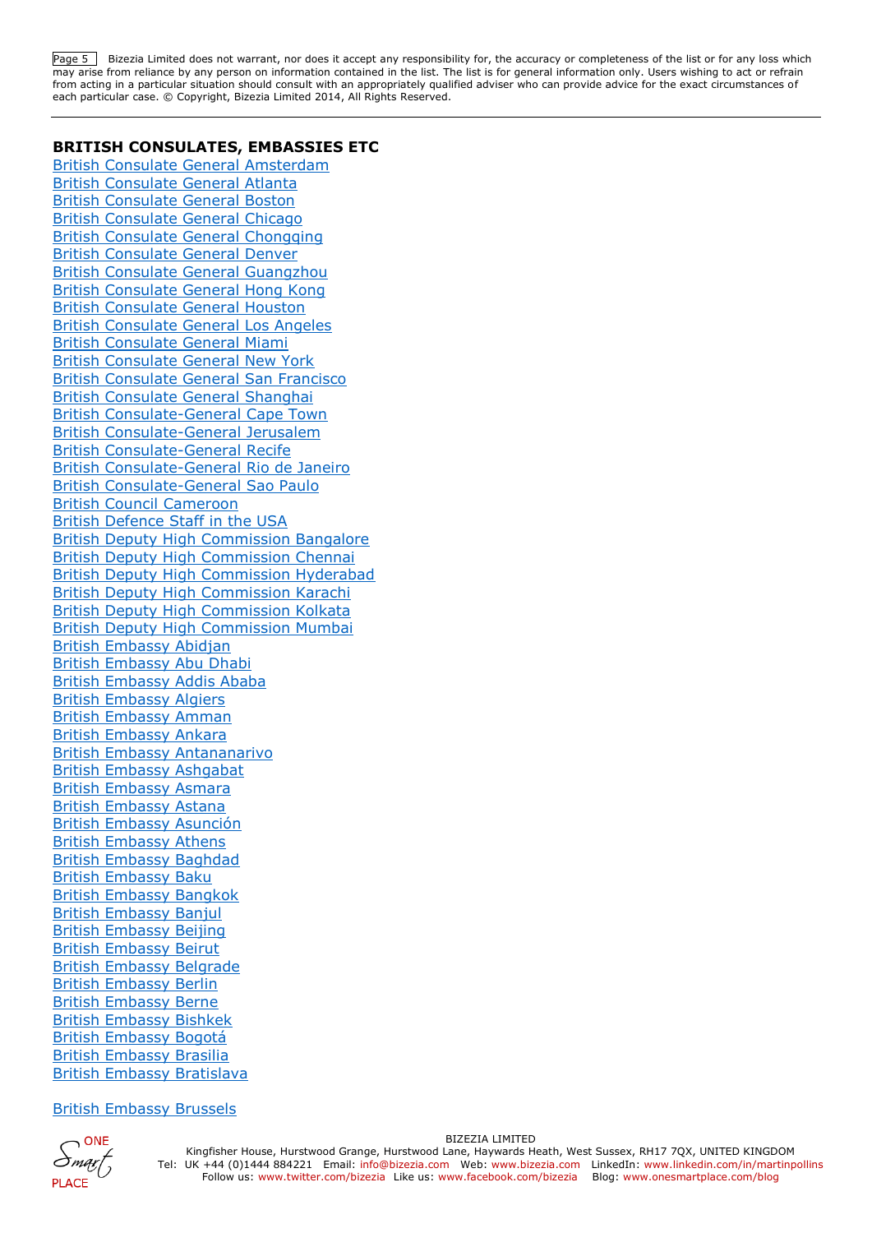Page 5 Bizezia Limited does not warrant, nor does it accept any responsibility for, the accuracy or completeness of the list or for any loss which may arise from reliance by any person on information contained in the list. The list is for general information only. Users wishing to act or refrain from acting in a particular situation should consult with an appropriately qualified adviser who can provide advice for the exact circumstances of each particular case. © Copyright, Bizezia Limited 2014, All Rights Reserved.

#### **BRITISH CONSULATES, EMBASSIES ETC**

[British Consulate General Amsterdam](https://www.gov.uk/government/world/organisations/british-consulate-general-amsterdam) [British Consulate General Atlanta](https://www.gov.uk/government/world/organisations/british-consulate-general-atlanta) [British Consulate General Boston](https://www.gov.uk/government/world/organisations/british-consulate-general-boston) [British Consulate General Chicago](https://www.gov.uk/government/world/organisations/british-consulate-general-chicago) [British Consulate General Chongqing](https://www.gov.uk/government/world/organisations/british-consulate-general-chongqing) [British Consulate General Denver](https://www.gov.uk/government/world/organisations/british-consulate-general-denver) [British Consulate General Guangzhou](https://www.gov.uk/government/world/organisations/british-consulate-general-guangzhou) [British Consulate General Hong Kong](https://www.gov.uk/government/world/organisations/british-consulate-general-hong-kong) [British Consulate General Houston](https://www.gov.uk/government/world/organisations/british-consulate-general-houston) [British Consulate General Los Angeles](https://www.gov.uk/government/world/organisations/british-consulate-general-los-angeles) [British Consulate General Miami](https://www.gov.uk/government/world/organisations/british-consulate-general-miami) [British Consulate General New York](https://www.gov.uk/government/world/organisations/british-consulate-general-new-york) [British Consulate General San Francisco](https://www.gov.uk/government/world/organisations/british-consulate-general-san-francisco) [British Consulate General Shanghai](https://www.gov.uk/government/world/organisations/british-consulate-general-shanghai) [British Consulate-General Cape Town](https://www.gov.uk/government/world/organisations/british-consulate-general-cape-town) [British Consulate-General Jerusalem](https://www.gov.uk/government/world/organisations/british-consulate-general-jerusalem) [British Consulate-General Recife](https://www.gov.uk/government/world/organisations/british-consulate-general-recife) [British Consulate-General Rio de Janeiro](https://www.gov.uk/government/world/organisations/british-consulate-general-rio-de-janeiro) [British Consulate-General Sao Paulo](https://www.gov.uk/government/world/organisations/british-consulate-general-sao-paulo) [British Council Cameroon](https://www.gov.uk/government/world/organisations/british-council-cameroon) [British Defence Staff in the USA](https://www.gov.uk/government/world/organisations/british-defence-staff-in-the-usa) [British Deputy High Commission Bangalore](https://www.gov.uk/government/world/organisations/british-deputy-high-commission-bangalore) [British Deputy High Commission Chennai](https://www.gov.uk/government/world/organisations/british-deputy-high-commissioner-chennai) [British Deputy High Commission Hyderabad](https://www.gov.uk/government/world/organisations/british-deputy-high-commission-hyderabad) [British Deputy High Commission Karachi](https://www.gov.uk/government/world/organisations/british-deputy-high-commission-karachi) [British Deputy High Commission Kolkata](https://www.gov.uk/government/world/organisations/british-deputy-high-commission-kolkata) [British Deputy High Commission Mumbai](https://www.gov.uk/government/world/organisations/british-deputy-high-commission-mumbai) [British Embassy Abidjan](https://www.gov.uk/government/world/organisations/british-embassy-abidjan) [British Embassy Abu Dhabi](https://www.gov.uk/government/world/organisations/british-embassy-abu-dhabi) [British Embassy Addis Ababa](https://www.gov.uk/government/world/organisations/british-embassy-addis-ababa) [British Embassy Algiers](https://www.gov.uk/government/world/organisations/british-embassy-algiers) [British Embassy Amman](https://www.gov.uk/government/world/organisations/british-embassy-amman) [British Embassy Ankara](https://www.gov.uk/government/world/organisations/british-embassy-ankara) [British Embassy Antananarivo](https://www.gov.uk/government/world/organisations/british-embassy-antananarivo) [British Embassy Ashgabat](https://www.gov.uk/government/world/organisations/british-embassy-ashgabat) [British Embassy Asmara](https://www.gov.uk/government/world/organisations/british-embassy-asmara) [British Embassy Astana](https://www.gov.uk/government/world/organisations/british-embassy-astana) [British Embassy Asunción](https://www.gov.uk/government/world/organisations/british-embassy-asuncion) [British Embassy Athens](https://www.gov.uk/government/world/organisations/british-embassy-athens) [British Embassy Baghdad](https://www.gov.uk/government/world/organisations/british-embassy-baghdad) [British Embassy Baku](https://www.gov.uk/government/world/organisations/british-embassy-baku) [British Embassy Bangkok](https://www.gov.uk/government/world/organisations/british-embassy-bangkok) [British Embassy Banjul](https://www.gov.uk/government/world/organisations/british-high-commission-banjul) [British Embassy Beijing](https://www.gov.uk/government/world/organisations/british-embassy-beijing) [British Embassy Beirut](https://www.gov.uk/government/world/organisations/british-embassy-beirut) [British Embassy Belgrade](https://www.gov.uk/government/world/organisations/british-embassy-belgrade) [British Embassy Berlin](https://www.gov.uk/government/world/organisations/british-embassy-berlin) [British Embassy Berne](https://www.gov.uk/government/world/organisations/british-embassy-berne) [British Embassy Bishkek](https://www.gov.uk/government/world/organisations/british-embassy-bishkek) [British Embassy Bogotá](https://www.gov.uk/government/world/organisations/british-embassy-colombia) [British Embassy Brasilia](https://www.gov.uk/government/world/organisations/british-embassy-brazil) [British Embassy Bratislava](https://www.gov.uk/government/world/organisations/british-embassy-bratislava)

#### [British Embassy Brussels](https://www.gov.uk/government/world/organisations/british-embassy-brussels)

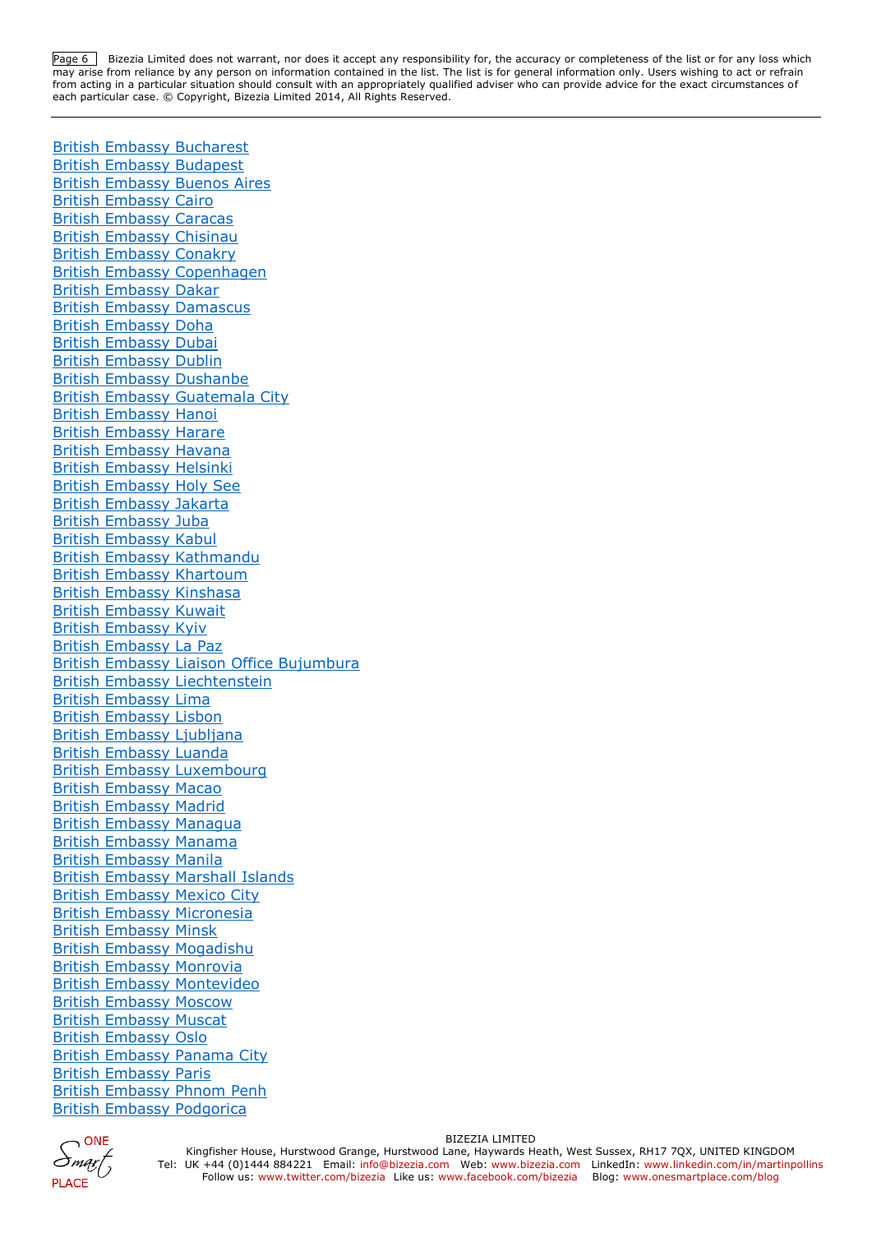Page 6 Bizezia Limited does not warrant, nor does it accept any responsibility for, the accuracy or completeness of the list or for any loss which may arise from reliance by any person on information contained in the list. The list is for general information only. Users wishing to act or refrain from acting in a particular situation should consult with an appropriately qualified adviser who can provide advice for the exact circumstances of each particular case. © Copyright, Bizezia Limited 2014, All Rights Reserved.

[British Embassy Bucharest](https://www.gov.uk/government/world/organisations/british-embassy-bucharest) [British Embassy Budapest](https://www.gov.uk/government/world/organisations/british-embassy-budapest) [British Embassy Buenos Aires](https://www.gov.uk/government/world/organisations/british-embassy-buenos-aires) [British Embassy Cairo](https://www.gov.uk/government/world/organisations/british-embassy-cairo) [British Embassy Caracas](https://www.gov.uk/government/world/organisations/british-embassy-venezuela) [British Embassy Chisinau](https://www.gov.uk/government/world/organisations/british-embassy-chisinau) [British Embassy Conakry](https://www.gov.uk/government/world/organisations/british-embassy-conakry) [British Embassy Copenhagen](https://www.gov.uk/government/world/organisations/british-embassy-copenhagen) [British Embassy Dakar](https://www.gov.uk/government/world/organisations/british-embassy-dakar) [British Embassy Damascus](https://www.gov.uk/government/world/organisations/british-embassy-damascus) [British Embassy Doha](https://www.gov.uk/government/world/organisations/british-embassy-doha) [British Embassy Dubai](https://www.gov.uk/government/world/organisations/british-embassy-dubai) [British Embassy Dublin](https://www.gov.uk/government/world/organisations/british-embassy-dublin) [British Embassy Dushanbe](https://www.gov.uk/government/world/organisations/british-embassy-dushanbe) [British Embassy Guatemala City](https://www.gov.uk/government/world/organisations/british-embassy-guatemala) [British Embassy Hanoi](https://www.gov.uk/government/world/organisations/british-embassy-hanoi) [British Embassy Harare](https://www.gov.uk/government/world/organisations/british-embassy-harare) [British Embassy Havana](https://www.gov.uk/government/world/organisations/british-embassy-havana) [British Embassy Helsinki](https://www.gov.uk/government/world/organisations/british-embassy-helsinki) [British Embassy Holy See](https://www.gov.uk/government/world/organisations/british-embassy-holy-see) [British Embassy Jakarta](https://www.gov.uk/government/world/organisations/british-embassy-jakarta) [British Embassy Juba](https://www.gov.uk/government/world/organisations/british-embassy-juba) [British Embassy Kabul](https://www.gov.uk/government/world/organisations/british-embassy-kabul) [British Embassy Kathmandu](https://www.gov.uk/government/world/organisations/british-embassy-kathmandu) [British Embassy Khartoum](https://www.gov.uk/government/world/organisations/british-embassy-khartoum) [British Embassy Kinshasa](https://www.gov.uk/government/world/organisations/british-embassy-kinshasa) [British Embassy Kuwait](https://www.gov.uk/government/world/organisations/british-embassy-kuwait) [British Embassy Kyiv](https://www.gov.uk/government/world/organisations/british-embassy-kyiv) [British Embassy La Paz](https://www.gov.uk/government/world/organisations/british-embassy-bolivia) [British Embassy Liaison Office Bujumbura](https://www.gov.uk/government/world/organisations/british-embassy-liaison-office-bujumbura) [British Embassy Liechtenstein](https://www.gov.uk/government/world/organisations/british-embassy-liechtenstein) [British Embassy Lima](https://www.gov.uk/government/world/organisations/british-embassy-peru) [British Embassy Lisbon](https://www.gov.uk/government/world/organisations/british-embassy-lisbon) [British Embassy Ljubljana](https://www.gov.uk/government/world/organisations/british-embassy-ljubljana) [British Embassy Luanda](https://www.gov.uk/government/world/organisations/british-embassy-luanda) [British Embassy Luxembourg](https://www.gov.uk/government/world/organisations/british-embassy-in-luxembourg) [British Embassy Macao](https://www.gov.uk/government/world/organisations/british-embassy-macao) [British Embassy Madrid](https://www.gov.uk/government/world/organisations/british-embassy-madrid) [British Embassy Managua](https://www.gov.uk/government/world/organisations/british-embassy-managua) [British Embassy Manama](https://www.gov.uk/government/world/organisations/british-embassy-manama) [British Embassy Manila](https://www.gov.uk/government/world/organisations/british-embassy-manila) [British Embassy Marshall Islands](https://www.gov.uk/government/world/organisations/british-embassy-marshall-islands) [British Embassy Mexico City](https://www.gov.uk/government/world/organisations/british-embassy-mexico-city) [British Embassy Micronesia](https://www.gov.uk/government/world/organisations/british-embassy-micronesia) [British Embassy Minsk](https://www.gov.uk/government/world/organisations/british-embassy-minsk) [British Embassy Mogadishu](https://www.gov.uk/government/world/organisations/british-embassy-mogadishu) [British Embassy Monrovia](https://www.gov.uk/government/world/organisations/british-embassy-monrovia) [British Embassy Montevideo](https://www.gov.uk/government/world/organisations/british-embassy-montevideo) [British Embassy Moscow](https://www.gov.uk/government/world/organisations/british-embassy-moscow) [British Embassy Muscat](https://www.gov.uk/government/world/organisations/british-embassy-muscat) [British Embassy Oslo](https://www.gov.uk/government/world/organisations/british-embassy-oslo) [British Embassy Panama City](https://www.gov.uk/government/world/organisations/british-embassy-panama-city) [British Embassy Paris](https://www.gov.uk/government/world/organisations/british-embassy-paris) [British Embassy Phnom Penh](https://www.gov.uk/government/world/organisations/british-embassy-phnom-penh) [British Embassy Podgorica](https://www.gov.uk/government/world/organisations/british-embassy-podgorica)

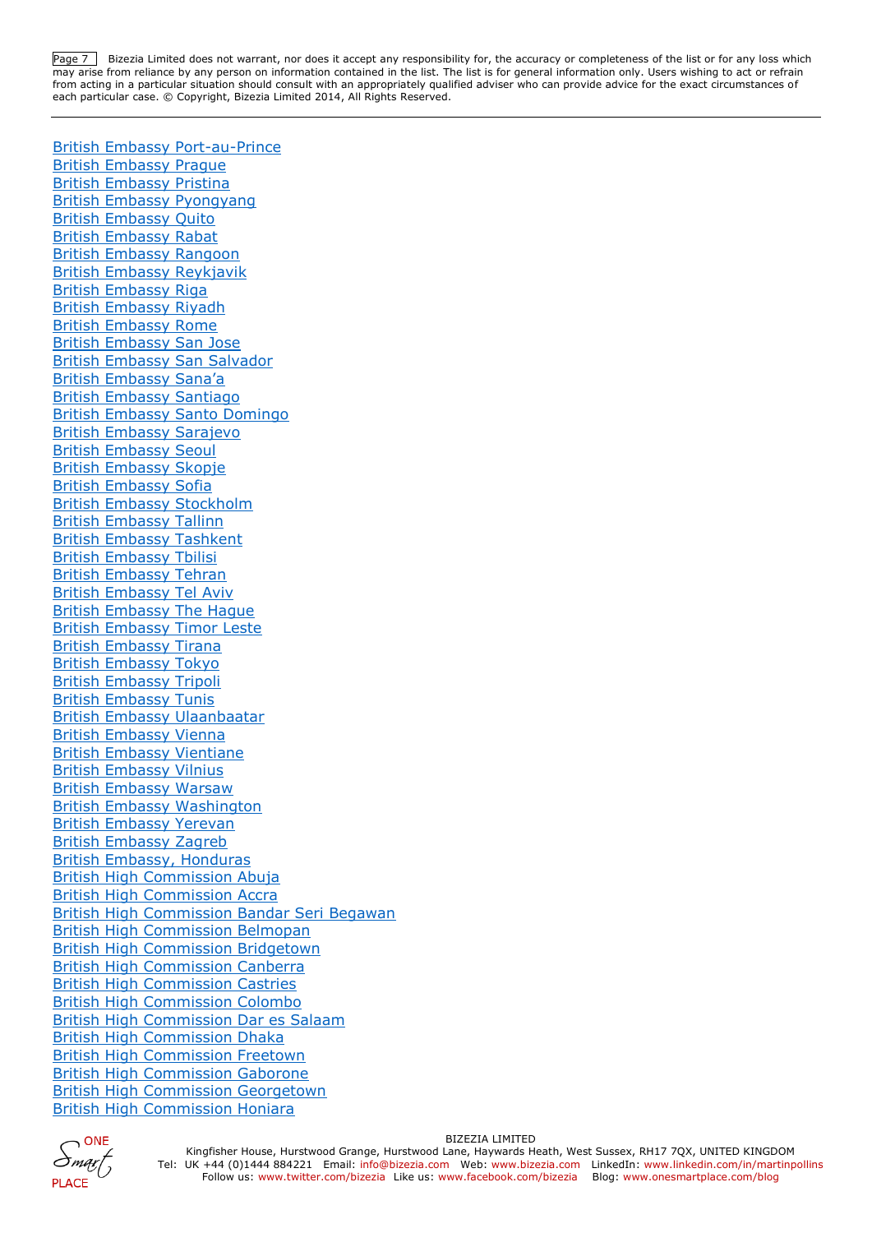Page 7 Bizezia Limited does not warrant, nor does it accept any responsibility for, the accuracy or completeness of the list or for any loss which may arise from reliance by any person on information contained in the list. The list is for general information only. Users wishing to act or refrain from acting in a particular situation should consult with an appropriately qualified adviser who can provide advice for the exact circumstances of each particular case. © Copyright, Bizezia Limited 2014, All Rights Reserved.

[British Embassy Port-au-Prince](https://www.gov.uk/government/world/organisations/british-embassy-port-au-prince) [British Embassy Prague](https://www.gov.uk/government/world/organisations/british-embassy-prague) [British Embassy Pristina](https://www.gov.uk/government/world/organisations/british-embassy-pristina) [British Embassy Pyongyang](https://www.gov.uk/government/world/organisations/british-embassy-pyonyang) [British Embassy Quito](https://www.gov.uk/government/world/organisations/british-embassy-in-ecuador) [British Embassy Rabat](https://www.gov.uk/government/world/organisations/british-embassy-rabat) [British Embassy Rangoon](https://www.gov.uk/government/world/organisations/british-embassy-rangoon) [British Embassy Reykjavik](https://www.gov.uk/government/world/organisations/british-embassy-reykjavik) [British Embassy Riga](https://www.gov.uk/government/world/organisations/british-embassy-riga) [British Embassy Riyadh](https://www.gov.uk/government/world/organisations/british-embassy-riyadh) [British Embassy Rome](https://www.gov.uk/government/world/organisations/british-embassy-rome) [British Embassy San Jose](https://www.gov.uk/government/world/organisations/british-embassy-in-costa-rica) [British Embassy San Salvador](https://www.gov.uk/government/world/organisations/british-embassy-san-salvador) [British Embassy Sana'a](https://www.gov.uk/government/world/organisations/british-embassy-sana-a) [British Embassy Santiago](https://www.gov.uk/government/world/organisations/british-embassy-chile) [British Embassy Santo Domingo](https://www.gov.uk/government/world/organisations/british-embassy-santo-domingo) [British Embassy Sarajevo](https://www.gov.uk/government/world/organisations/british-embassy-sarajevo) [British Embassy Seoul](https://www.gov.uk/government/world/organisations/british-embassy-seoul) [British Embassy Skopje](https://www.gov.uk/government/world/organisations/british-embassy-skopje) [British Embassy Sofia](https://www.gov.uk/government/world/organisations/british-embassy-sofia) [British Embassy Stockholm](https://www.gov.uk/government/world/organisations/british-embassy-stockholm) [British Embassy Tallinn](https://www.gov.uk/government/world/organisations/british-embassy-tallinn) [British Embassy Tashkent](https://www.gov.uk/government/world/organisations/british-embassy-tashkent) [British Embassy Tbilisi](https://www.gov.uk/government/world/organisations/british-embassy-tbilisi) [British Embassy Tehran](https://www.gov.uk/government/world/organisations/uk-for-iranians) [British Embassy Tel Aviv](https://www.gov.uk/government/world/organisations/british-embassy-tel-aviv) [British Embassy The Hague](https://www.gov.uk/government/world/organisations/british-embassy-the-hague) [British Embassy Timor Leste](https://www.gov.uk/government/world/organisations/british-embassy-timor-leste) [British Embassy Tirana](https://www.gov.uk/government/world/organisations/british-embassy-tirana) [British Embassy Tokyo](https://www.gov.uk/government/world/organisations/british-embassy-tokyo) [British Embassy Tripoli](https://www.gov.uk/government/world/organisations/british-embassy-tripoli) [British Embassy Tunis](https://www.gov.uk/government/world/organisations/british-embassy-tunis) [British Embassy Ulaanbaatar](https://www.gov.uk/government/world/organisations/british-embassy-ulaanbaatar) [British Embassy Vienna](https://www.gov.uk/government/world/organisations/british-embassy-vienna) [British Embassy Vientiane](https://www.gov.uk/government/world/organisations/british-embassy-vientiane) [British Embassy Vilnius](https://www.gov.uk/government/world/organisations/british-embassy-vilnius) [British Embassy Warsaw](https://www.gov.uk/government/world/organisations/british-embassy-warsaw) [British Embassy Washington](https://www.gov.uk/government/world/organisations/british-embassy-washington) [British Embassy Yerevan](https://www.gov.uk/government/world/organisations/british-embassy-yerevan) [British Embassy Zagreb](https://www.gov.uk/government/world/organisations/british-embassy-zagreb) [British Embassy, Honduras](https://www.gov.uk/government/world/organisations/british-embassy-honduras) [British High Commission Abuja](https://www.gov.uk/government/world/organisations/british-high-commission-abuja) [British High Commission Accra](https://www.gov.uk/government/world/organisations/british-high-commission-accra) [British High Commission Bandar Seri Begawan](https://www.gov.uk/government/world/organisations/british-high-commission-bandar-seri-begawan) [British High Commission Belmopan](https://www.gov.uk/government/world/organisations/british-high-commission-belmopan) [British High Commission Bridgetown](https://www.gov.uk/government/world/organisations/british-high-commission-barbados) [British High Commission Canberra](https://www.gov.uk/government/world/organisations/british-high-commission-canberra) [British High Commission Castries](https://www.gov.uk/government/world/organisations/british-high-commission-castries) [British High Commission Colombo](https://www.gov.uk/government/world/organisations/british-high-commission-colombo) [British High Commission Dar es Salaam](https://www.gov.uk/government/world/organisations/british-high-commission-dar-es-salaam) [British High Commission Dhaka](https://www.gov.uk/government/world/organisations/british-high-commission-dhaka) [British High Commission Freetown](https://www.gov.uk/government/world/organisations/british-high-commission-freetown) [British High Commission Gaborone](https://www.gov.uk/government/world/organisations/british-high-commission-gaborone) [British High Commission Georgetown](https://www.gov.uk/government/world/organisations/british-high-commission-georgetown) [British High Commission Honiara](https://www.gov.uk/government/world/organisations/british-high-commission-honiara)